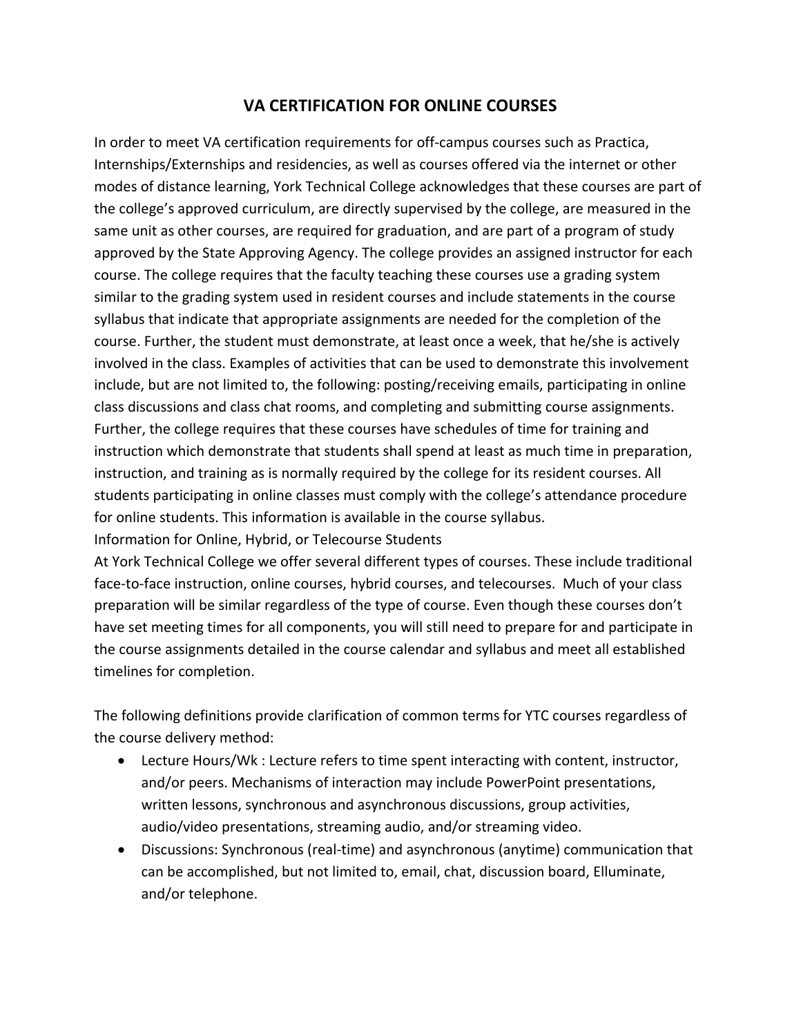## **VA CERTIFICATION FOR ONLINE COURSES**

In order to meet VA certification requirements for off-campus courses such as Practica, Internships/Externships and residencies, as well as courses offered via the internet or other modes of distance learning, York Technical College acknowledges that these courses are part of the college's approved curriculum, are directly supervised by the college, are measured in the same unit as other courses, are required for graduation, and are part of a program of study approved by the State Approving Agency. The college provides an assigned instructor for each course. The college requires that the faculty teaching these courses use a grading system similar to the grading system used in resident courses and include statements in the course syllabus that indicate that appropriate assignments are needed for the completion of the course. Further, the student must demonstrate, at least once a week, that he/she is actively involved in the class. Examples of activities that can be used to demonstrate this involvement include, but are not limited to, the following: posting/receiving emails, participating in online class discussions and class chat rooms, and completing and submitting course assignments. Further, the college requires that these courses have schedules of time for training and instruction which demonstrate that students shall spend at least as much time in preparation, instruction, and training as is normally required by the college for its resident courses. All students participating in online classes must comply with the college's attendance procedure for online students. This information is available in the course syllabus.

Information for Online, Hybrid, or Telecourse Students

At York Technical College we offer several different types of courses. These include traditional face-to-face instruction, online courses, hybrid courses, and telecourses. Much of your class preparation will be similar regardless of the type of course. Even though these courses don't have set meeting times for all components, you will still need to prepare for and participate in the course assignments detailed in the course calendar and syllabus and meet all established timelines for completion.

The following definitions provide clarification of common terms for YTC courses regardless of the course delivery method:

- Lecture Hours/Wk : Lecture refers to time spent interacting with content, instructor, and/or peers. Mechanisms of interaction may include PowerPoint presentations, written lessons, synchronous and asynchronous discussions, group activities, audio/video presentations, streaming audio, and/or streaming video.
- Discussions: Synchronous (real-time) and asynchronous (anytime) communication that can be accomplished, but not limited to, email, chat, discussion board, Elluminate, and/or telephone.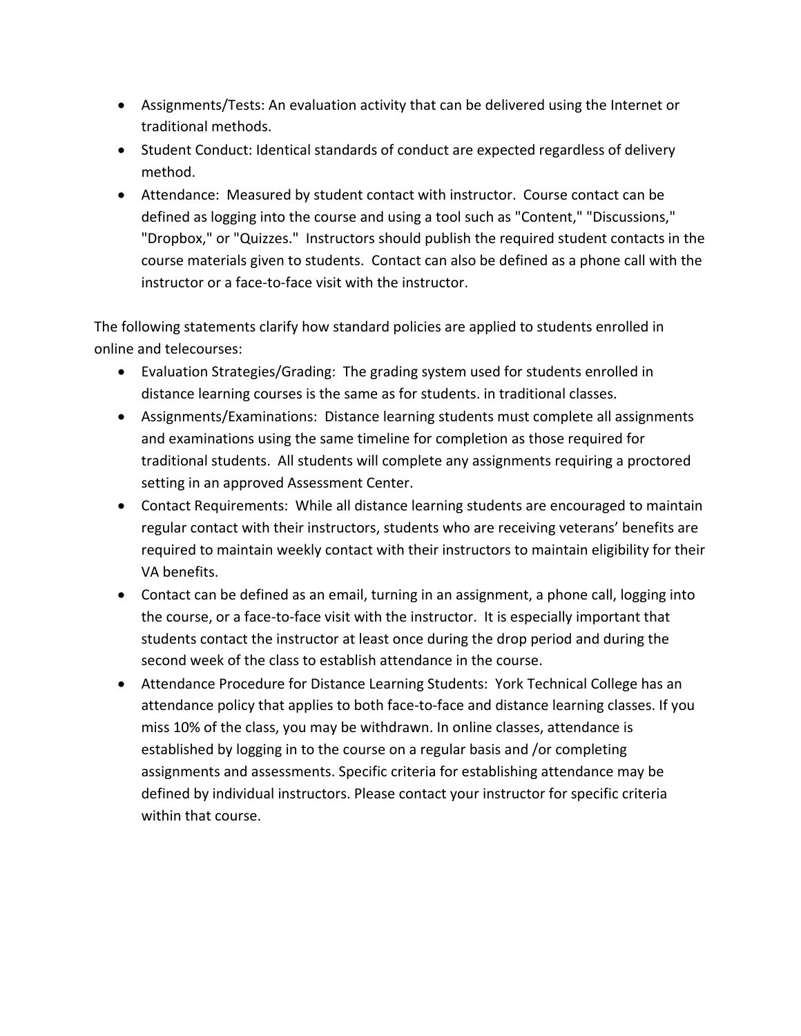- Assignments/Tests: An evaluation activity that can be delivered using the Internet or traditional methods.
- Student Conduct: Identical standards of conduct are expected regardless of delivery method.
- Attendance: Measured by student contact with instructor. Course contact can be defined as logging into the course and using a tool such as "Content," "Discussions," "Dropbox," or "Quizzes." Instructors should publish the required student contacts in the course materials given to students. Contact can also be defined as a phone call with the instructor or a face-to-face visit with the instructor.

The following statements clarify how standard policies are applied to students enrolled in online and telecourses:

- Evaluation Strategies/Grading: The grading system used for students enrolled in distance learning courses is the same as for students. in traditional classes.
- Assignments/Examinations: Distance learning students must complete all assignments and examinations using the same timeline for completion as those required for traditional students. All students will complete any assignments requiring a proctored setting in an approved Assessment Center.
- Contact Requirements: While all distance learning students are encouraged to maintain regular contact with their instructors, students who are receiving veterans' benefits are required to maintain weekly contact with their instructors to maintain eligibility for their VA benefits.
- Contact can be defined as an email, turning in an assignment, a phone call, logging into the course, or a face-to-face visit with the instructor. It is especially important that students contact the instructor at least once during the drop period and during the second week of the class to establish attendance in the course.
- Attendance Procedure for Distance Learning Students: York Technical College has an attendance policy that applies to both face-to-face and distance learning classes. If you miss 10% of the class, you may be withdrawn. In online classes, attendance is established by logging in to the course on a regular basis and /or completing assignments and assessments. Specific criteria for establishing attendance may be defined by individual instructors. Please contact your instructor for specific criteria within that course.